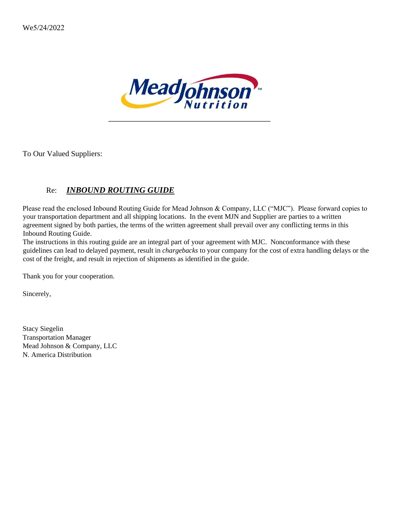

To Our Valued Suppliers:

# Re: *INBOUND ROUTING GUIDE*

Please read the enclosed Inbound Routing Guide for Mead Johnson & Company, LLC ("MJC"). Please forward copies to your transportation department and all shipping locations. In the event MJN and Supplier are parties to a written agreement signed by both parties, the terms of the written agreement shall prevail over any conflicting terms in this Inbound Routing Guide.

The instructions in this routing guide are an integral part of your agreement with MJC. Nonconformance with these guidelines can lead to delayed payment, result in *chargebacks* to your company for the cost of extra handling delays or the cost of the freight, and result in rejection of shipments as identified in the guide.

Thank you for your cooperation.

Sincerely,

Stacy Siegelin Transportation Manager Mead Johnson & Company, LLC N. America Distribution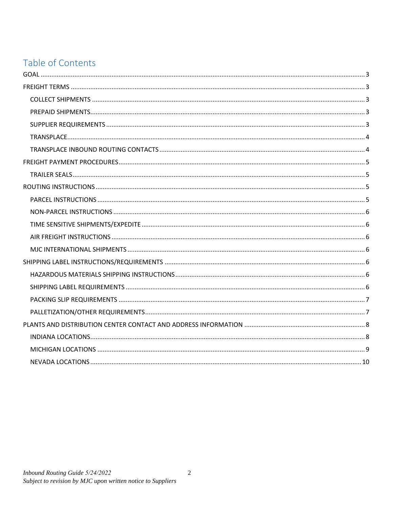# Table of Contents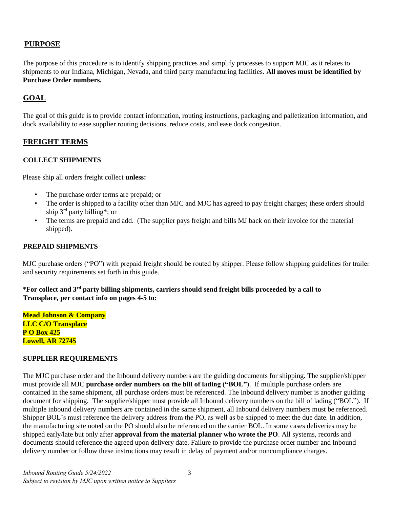## **PURPOSE**

The purpose of this procedure is to identify shipping practices and simplify processes to support MJC as it relates to shipments to our Indiana, Michigan, Nevada, and third party manufacturing facilities. **All moves must be identified by Purchase Order numbers.** 

## <span id="page-2-0"></span>**GOAL**

The goal of this guide is to provide contact information, routing instructions, packaging and palletization information, and dock availability to ease supplier routing decisions, reduce costs, and ease dock congestion.

## <span id="page-2-1"></span>**FREIGHT TERMS**

#### <span id="page-2-2"></span>**COLLECT SHIPMENTS**

Please ship all orders freight collect **unless:**

- The purchase order terms are prepaid; or
- The order is shipped to a facility other than MJC and MJC has agreed to pay freight charges; these orders should ship 3rd party billing\*; or
- The terms are prepaid and add. (The supplier pays freight and bills MJ back on their invoice for the material shipped).

#### <span id="page-2-3"></span>**PREPAID SHIPMENTS**

MJC purchase orders ("PO") with prepaid freight should be routed by shipper. Please follow shipping guidelines for trailer and security requirements set forth in this guide.

**\*For collect and 3rd party billing shipments, carriers should send freight bills proceeded by a call to Transplace, per contact info on pages 4-5 to:**

**Mead Johnson & Company LLC C/O Transplace P O Box 425 Lowell, AR 72745**

#### <span id="page-2-4"></span>**SUPPLIER REQUIREMENTS**

The MJC purchase order and the Inbound delivery numbers are the guiding documents for shipping. The supplier/shipper must provide all MJC **purchase order numbers on the bill of lading ("BOL")**. If multiple purchase orders are contained in the same shipment, all purchase orders must be referenced. The Inbound delivery number is another guiding document for shipping. The supplier/shipper must provide all Inbound delivery numbers on the bill of lading ("BOL"). If multiple inbound delivery numbers are contained in the same shipment, all Inbound delivery numbers must be referenced. Shipper BOL's must reference the delivery address from the PO, as well as be shipped to meet the due date. In addition, the manufacturing site noted on the PO should also be referenced on the carrier BOL. In some cases deliveries may be shipped early/late but only after **approval from the material planner who wrote the PO**. All systems, records and documents should reference the agreed upon delivery date. Failure to provide the purchase order number and Inbound delivery number or follow these instructions may result in delay of payment and/or noncompliance charges.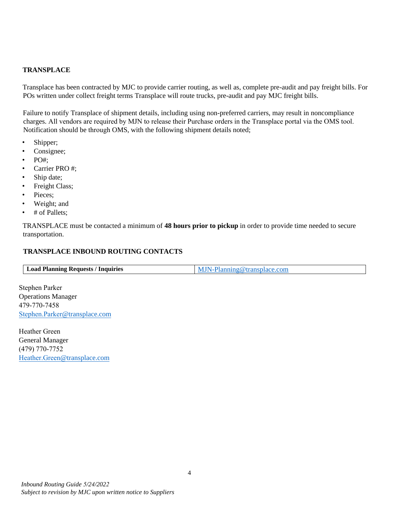#### <span id="page-3-0"></span>**TRANSPLACE**

Transplace has been contracted by MJC to provide carrier routing, as well as, complete pre-audit and pay freight bills. For POs written under collect freight terms Transplace will route trucks, pre-audit and pay MJC freight bills.

Failure to notify Transplace of shipment details, including using non-preferred carriers, may result in noncompliance charges. All vendors are required by MJN to release their Purchase orders in the Transplace portal via the OMS tool. Notification should be through OMS, with the following shipment details noted;

- Shipper;
- Consignee;
- $\cdot$  PO#:
- Carrier PRO #;
- Ship date;
- Freight Class;
- Pieces;
- Weight; and
- # of Pallets;

TRANSPLACE must be contacted a minimum of **48 hours prior to pickup** in order to provide time needed to secure transportation.

#### <span id="page-3-1"></span>**TRANSPLACE INBOUND ROUTING CONTACTS**

Stephen Parker Operations Manager 479-770-7458 Stephen.Parker@transplace.com

Heather Green General Manager (479) 770-7752 Heather.Green@transplace.com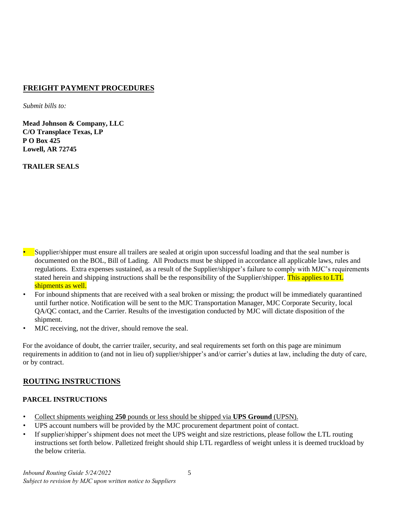## **[FREIGHT PAYMENT PRO](mailto:Kevin.Watkins@transplace.com)CEDURES**

*Submit bills to:* 

**Mead Johnson & Company, LLC C/O Transplace Texas, LP P O Box 425 Lowell, AR 72745** 

<span id="page-4-0"></span>**TRAILER SEALS** 

- <span id="page-4-1"></span>• Supplier/shipper must ensure all trailers are sealed at origin upon successful loading and that the seal number is documented on the BOL, Bill of Lading. All Products must be shipped in accordance all applicable laws, rules and regulations. Extra expenses sustained, as a result of the Supplier/shipper's failure to comply with MJC's requirements stated herein and shipping instructions shall be the responsibility of the Supplier/shipper. This applies to LTL shipments as well.
- For inbound shipments that are received with a seal broken or missing; the product will be immediately quarantined until further notice. Notification will be sent to the MJC Transportation Manager, MJC Corporate Security, local QA/QC contact, and the Carrier. Results of the investigation conducted by MJC will dictate disposition of the shipment.
- MJC receiving, not the driver, should remove the seal.

For the avoidance of doubt, the carrier trailer, security, and seal requirements set forth on this page are minimum requirements in addition to (and not in lieu of) supplier/shipper's and/or carrier's duties at law, including the duty of care, or by contract.

## <span id="page-4-2"></span>**ROUTING INSTRUCTIONS**

#### <span id="page-4-3"></span>**PARCEL INSTRUCTIONS**

- Collect shipments weighing **250** pounds or less should be shipped via **UPS Ground** (UPSN).
- UPS account numbers will be provided by the MJC procurement department point of contact.
- If supplier/shipper's shipment does not meet the UPS weight and size restrictions, please follow the LTL routing instructions set forth below. Palletized freight should ship LTL regardless of weight unless it is deemed truckload by the below criteria.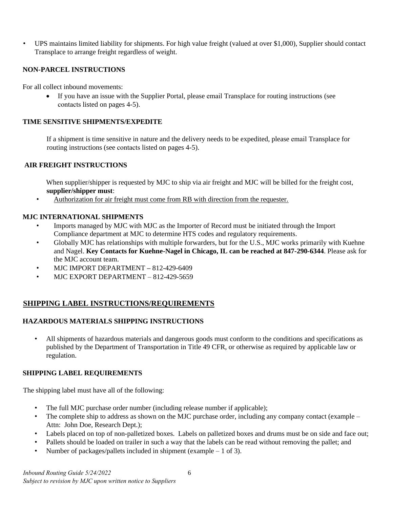• UPS maintains limited liability for shipments. For high value freight (valued at over \$1,000), Supplier should contact Transplace to arrange freight regardless of weight.

## <span id="page-5-0"></span>**NON-PARCEL INSTRUCTIONS**

For all collect inbound movements:

• If you have an issue with the Supplier Portal, please email Transplace for routing instructions (see contacts listed on pages 4-5).

## <span id="page-5-1"></span>**TIME SENSITIVE SHIPMENTS/EXPEDITE**

If a shipment is time sensitive in nature and the delivery needs to be expedited, please email Transplace for routing instructions (see contacts listed on pages 4-5).

#### <span id="page-5-2"></span>**AIR FREIGHT INSTRUCTIONS**

When supplier/shipper is requested by MJC to ship via air freight and MJC will be billed for the freight cost, **supplier/shipper must**:

• Authorization for air freight must come from RB with direction from the requester.

#### <span id="page-5-3"></span>**MJC INTERNATIONAL SHIPMENTS**

- Imports managed by MJC with MJC as the Importer of Record must be initiated through the Import Compliance department at MJC to determine HTS codes and regulatory requirements.
- Globally MJC has relationships with multiple forwarders, but for the U.S., MJC works primarily with Kuehne and Nagel. **Key Contacts for Kuehne-Nagel in Chicago, IL can be reached at 847-290-6344**. Please ask for the MJC account team.
- MJC IMPORT DEPARTMENT **–** 812-429-6409
- MJC EXPORT DEPARTMENT 812-429-5659

## <span id="page-5-4"></span>**SHIPPING LABEL INSTRUCTIONS/REQUIREMENTS**

#### <span id="page-5-5"></span>**HAZARDOUS MATERIALS SHIPPING INSTRUCTIONS**

• All shipments of hazardous materials and dangerous goods must conform to the conditions and specifications as published by the Department of Transportation in Title 49 CFR, or otherwise as required by applicable law or regulation.

#### <span id="page-5-6"></span>**SHIPPING LABEL REQUIREMENTS**

The shipping label must have all of the following:

- The full MJC purchase order number (including release number if applicable);
- The complete ship to address as shown on the MJC purchase order, including any company contact (example Attn: John Doe, Research Dept.);
- Labels placed on top of non-palletized boxes. Labels on palletized boxes and drums must be on side and face out;
- Pallets should be loaded on trailer in such a way that the labels can be read without removing the pallet; and
- Number of packages/pallets included in shipment (example  $-1$  of 3).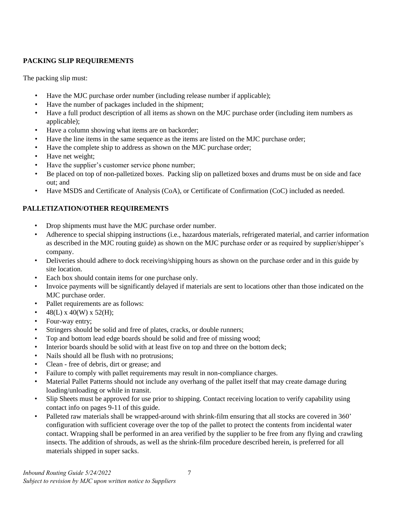## <span id="page-6-0"></span>**PACKING SLIP REQUIREMENTS**

The packing slip must:

- Have the MJC purchase order number (including release number if applicable);
- Have the number of packages included in the shipment;
- Have a full product description of all items as shown on the MJC purchase order (including item numbers as applicable);
- Have a column showing what items are on backorder;
- Have the line items in the same sequence as the items are listed on the MJC purchase order;
- Have the complete ship to address as shown on the MJC purchase order;
- Have net weight;
- Have the supplier's customer service phone number;
- Be placed on top of non-palletized boxes. Packing slip on palletized boxes and drums must be on side and face out; and
- Have MSDS and Certificate of Analysis (CoA), or Certificate of Confirmation (CoC) included as needed.

# <span id="page-6-1"></span>**PALLETIZATION/OTHER REQUIREMENTS**

- Drop shipments must have the MJC purchase order number.
- Adherence to special shipping instructions (i.e., hazardous materials, refrigerated material, and carrier information as described in the MJC routing guide) as shown on the MJC purchase order or as required by supplier/shipper's company.
- Deliveries should adhere to dock receiving/shipping hours as shown on the purchase order and in this guide by site location.
- Each box should contain items for one purchase only.
- Invoice payments will be significantly delayed if materials are sent to locations other than those indicated on the MJC purchase order.
- Pallet requirements are as follows:
- 48(L) x 40(W) x 52(H);
- Four-way entry;
- Stringers should be solid and free of plates, cracks, or double runners;
- Top and bottom lead edge boards should be solid and free of missing wood;
- Interior boards should be solid with at least five on top and three on the bottom deck;
- Nails should all be flush with no protrusions;
- Clean free of debris, dirt or grease; and
- Failure to comply with pallet requirements may result in non-compliance charges.
- Material Pallet Patterns should not include any overhang of the pallet itself that may create damage during loading/unloading or while in transit.
- Slip Sheets must be approved for use prior to shipping. Contact receiving location to verify capability using contact info on pages 9-11 of this guide.
- Palleted raw materials shall be wrapped-around with shrink-film ensuring that all stocks are covered in 360' configuration with sufficient coverage over the top of the pallet to protect the contents from incidental water contact. Wrapping shall be performed in an area verified by the supplier to be free from any flying and crawling insects. The addition of shrouds, as well as the shrink-film procedure described herein, is preferred for all materials shipped in super sacks.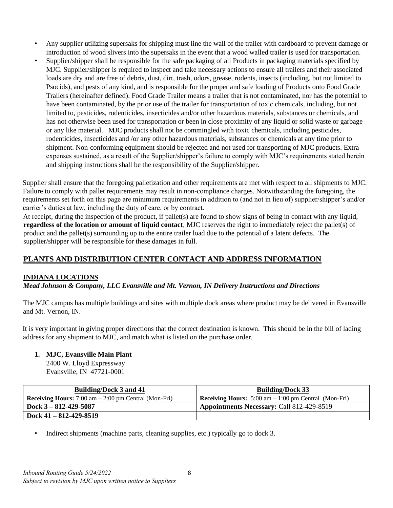- Any supplier utilizing supersaks for shipping must line the wall of the trailer with cardboard to prevent damage or introduction of wood slivers into the supersaks in the event that a wood walled trailer is used for transportation.
- Supplier/shipper shall be responsible for the safe packaging of all Products in packaging materials specified by MJC. Supplier/shipper is required to inspect and take necessary actions to ensure all trailers and their associated loads are dry and are free of debris, dust, dirt, trash, odors, grease, rodents, insects (including, but not limited to Psocids), and pests of any kind, and is responsible for the proper and safe loading of Products onto Food Grade Trailers (hereinafter defined). Food Grade Trailer means a trailer that is not contaminated, nor has the potential to have been contaminated, by the prior use of the trailer for transportation of toxic chemicals, including, but not limited to, pesticides, rodenticides, insecticides and/or other hazardous materials, substances or chemicals, and has not otherwise been used for transportation or been in close proximity of any liquid or solid waste or garbage or any like material. MJC products shall not be commingled with toxic chemicals, including pesticides, rodenticides, insecticides and /or any other hazardous materials, substances or chemicals at any time prior to shipment. Non-conforming equipment should be rejected and not used for transporting of MJC products. Extra expenses sustained, as a result of the Supplier/shipper's failure to comply with MJC's requirements stated herein and shipping instructions shall be the responsibility of the Supplier/shipper.

Supplier shall ensure that the foregoing palletization and other requirements are met with respect to all shipments to MJC. Failure to comply with pallet requirements may result in non-compliance charges. Notwithstanding the foregoing, the requirements set forth on this page are minimum requirements in addition to (and not in lieu of) supplier/shipper's and/or carrier's duties at law, including the duty of care, or by contract.

At receipt, during the inspection of the product, if pallet(s) are found to show signs of being in contact with any liquid, **regardless of the location or amount of liquid contact**, MJC reserves the right to immediately reject the pallet(s) of product and the pallet(s) surrounding up to the entire trailer load due to the potential of a latent defects. The supplier/shipper will be responsible for these damages in full.

# <span id="page-7-0"></span>**PLANTS AND DISTRIBUTION CENTER CONTACT AND ADDRESS INFORMATION**

## <span id="page-7-1"></span>**INDIANA LOCATIONS**

*Mead Johnson & Company, LLC Evansville and Mt. Vernon, IN Delivery Instructions and Directions*

The MJC campus has multiple buildings and sites with multiple dock areas where product may be delivered in Evansville and Mt. Vernon, IN.

It is very important in giving proper directions that the correct destination is known. This should be in the bill of lading address for any shipment to MJC, and match what is listed on the purchase order.

#### **1. MJC, Evansville Main Plant**

2400 W. Lloyd Expressway Evansville, IN 47721-0001

| <b>Building/Dock 3 and 41</b>                                 | <b>Building/Dock 33</b>                                                       |
|---------------------------------------------------------------|-------------------------------------------------------------------------------|
| <b>Receiving Hours:</b> 7:00 am $- 2:00$ pm Central (Mon-Fri) | <b>Receiving Hours:</b> $5:00 \text{ am} - 1:00 \text{ pm}$ Central (Mon-Fri) |
| Dock $3 - 812 - 429 - 5087$                                   | Appointments Necessary: Call 812-429-8519                                     |
| Dock $41 - 812 - 429 - 8519$                                  |                                                                               |

Indirect shipments (machine parts, cleaning supplies, etc.) typically go to dock 3.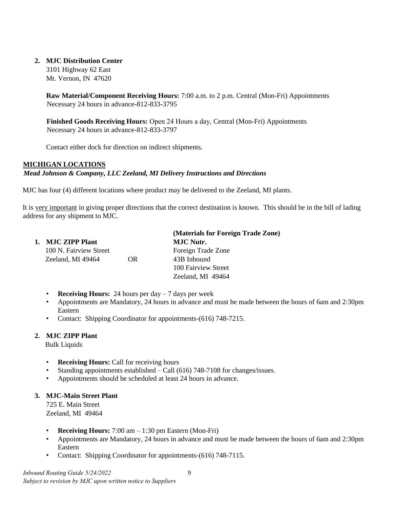#### **2. MJC Distribution Center**

3101 Highway 62 East Mt. Vernon, IN 47620

**Raw Material/Component Receiving Hours:** 7:00 a.m. to 2 p.m. Central (Mon-Fri) Appointments Necessary 24 hours in advance-812-833-3795

**Finished Goods Receiving Hours:** Open 24 Hours a day, Central (Mon-Fri) Appointments Necessary 24 hours in advance-812-833-3797

Contact either dock for direction on indirect shipments.

#### <span id="page-8-0"></span>**MICHIGAN LOCATIONS**

#### *Mead Johnson & Company, LLC Zeeland, MI Delivery Instructions and Directions*

MJC has four (4) different locations where product may be delivered to the Zeeland, MI plants.

It is very important in giving proper directions that the correct destination is known. This should be in the bill of lading address for any shipment to MJC.

|                        |                  | (Materials for Foreign Trade Zone) |  |
|------------------------|------------------|------------------------------------|--|
| 1. MJC ZIPP Plant      | <b>MJC Nutr.</b> |                                    |  |
| 100 N. Fairview Street |                  | Foreign Trade Zone                 |  |
| Zeeland, MI 49464      | OR.              | 43B Inbound                        |  |
|                        |                  | 100 Fairview Street                |  |
|                        |                  | Zeeland, MI 49464                  |  |
|                        |                  |                                    |  |

- **Receiving Hours:** 24 hours per day  $-7$  days per week
- Appointments are Mandatory, 24 hours in advance and must be made between the hours of 6am and 2:30pm Eastern
- Contact: Shipping Coordinator for appointments-(616) 748-7215.

#### **2. MJC ZIPP Plant**

Bulk Liquids

- **Receiving Hours:** Call for receiving hours
- Standing appointments established Call (616) 748-7108 for changes/issues.
- Appointments should be scheduled at least 24 hours in advance.

### **3. MJC-Main Street Plant**

725 E. Main Street Zeeland, MI 49464

- **Receiving Hours:** 7:00 am 1:30 pm Eastern (Mon-Fri)
- Appointments are Mandatory, 24 hours in advance and must be made between the hours of 6am and 2:30pm Eastern
- Contact: Shipping Coordinator for appointments-(616) 748-7115.